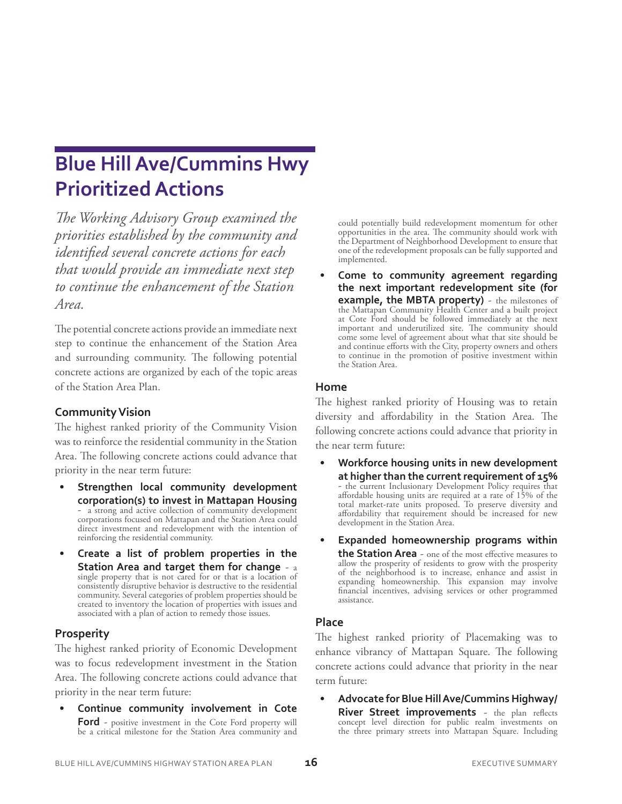# **Prioritized Actions Blue Hill Ave/Cummins Hwy**

*The Working Advisory Group examined the priorities established by the community and identified several concrete actions for each that would provide an immediate next step to continue the enhancement of the Station Area.*

The potential concrete actions provide an immediate next step to continue the enhancement of the Station Area and surrounding community. The following potential concrete actions are organized by each of the topic areas of the Station Area Plan.

## **Community Vision**

The highest ranked priority of the Community Vision was to reinforce the residential community in the Station Area. The following concrete actions could advance that priority in the near term future:

- **• Strengthen local community development corporation(s) to invest in Mattapan Housing** - a strong and active collection of community development corporations focused on Mattapan and the Station Area could direct investment and redevelopment with the intention of reinforcing the residential community.
- **• Create a list of problem properties in the Station Area and target them for change** - a single property that is not cared for or that is a location of consistently disruptive behavior is destructive to the residential community. Several categories of problem properties should be created to inventory the location of properties with issues and associated with a plan of action to remedy those issues.

# **Prosperity**

The highest ranked priority of Economic Development was to focus redevelopment investment in the Station Area. The following concrete actions could advance that priority in the near term future:

**• Continue community involvement in Cote Ford** - positive investment in the Cote Ford property will be a critical milestone for the Station Area community and could potentially build redevelopment momentum for other opportunities in the area. The community should work with the Department of Neighborhood Development to ensure that one of the redevelopment proposals can be fully supported and implemented.

**• Come to community agreement regarding the next important redevelopment site (for example, the MBTA property)** - the milestones of the Mattapan Community Health Center and a built project at Cote Ford should be followed immediately at the next important and underutilized site. The community should come some level of agreement about what that site should be and continue efforts with the City, property owners and others to continue in the promotion of positive investment within the Station Area.

### **Home**

The highest ranked priority of Housing was to retain diversity and affordability in the Station Area. The following concrete actions could advance that priority in the near term future:

- **• Workforce housing units in new development at higher than the current requirement of 15%** - the current Inclusionary Development Policy requires that affordable housing units are required at a rate of 15% of the total market-rate units proposed. To preserve diversity and affordability that requirement should be increased for new development in the Station Area.
- **• Expanded homeownership programs within the Station Area** - one of the most effective measures to allow the prosperity of residents to grow with the prosperity of the neighborhood is to increase, enhance and assist in expanding homeownership. This expansion may involve financial incentives, advising services or other programmed assistance.

## **Place**

The highest ranked priority of Placemaking was to enhance vibrancy of Mattapan Square. The following concrete actions could advance that priority in the near term future:

**• Advocate for Blue Hill Ave/Cummins Highway/ River Street improvements** - the plan reflects concept level direction for public realm investments on the three primary streets into Mattapan Square. Including